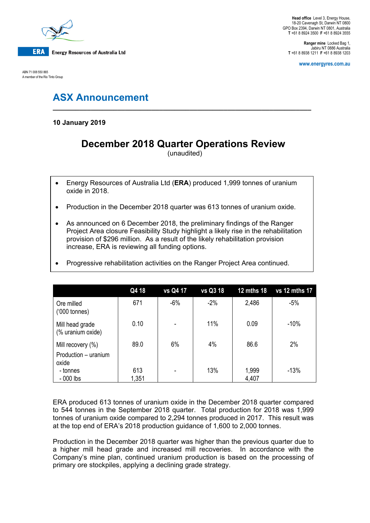

ABN 71 008 550 865 A member of the Rio Tinto Group

**Ranger mine** Locked Bag 1, Jabiru NT 0886 Australia **T** +61 8 8938 1211 **F** +61 8 8938 1203

**www.energyres.com.au**

# **ASX Announcement**

**10 January 2019**

# **December 2018 Quarter Operations Review**

**\_\_\_\_\_\_\_\_\_\_\_\_\_\_\_\_\_\_\_\_\_\_\_\_\_\_\_\_\_\_\_\_\_\_\_\_\_\_\_\_\_\_\_\_\_\_\_\_\_\_\_\_\_\_\_\_\_\_\_\_\_\_\_\_\_\_\_\_**

(unaudited)

- Energy Resources of Australia Ltd (**ERA**) produced 1,999 tonnes of uranium oxide in 2018.
- Production in the December 2018 quarter was 613 tonnes of uranium oxide.
- As announced on 6 December 2018, the preliminary findings of the Ranger Project Area closure Feasibility Study highlight a likely rise in the rehabilitation provision of \$296 million. As a result of the likely rehabilitation provision increase, ERA is reviewing all funding options.

| • Progressive rehabilitation activities on the Ranger Project Area continued. |  |  |
|-------------------------------------------------------------------------------|--|--|
|                                                                               |  |  |

|                                      | Q4 18 | <b>vs Q4 17</b> | vs Q3 18 | <b>12 mths 18</b> | vs 12 mths 17 |
|--------------------------------------|-------|-----------------|----------|-------------------|---------------|
| Ore milled<br>$(000 \text{ tonnes})$ | 671   | $-6%$           | $-2%$    | 2,486             | $-5%$         |
| Mill head grade<br>(% uranium oxide) | 0.10  | ٠               | 11%      | 0.09              | $-10%$        |
| Mill recovery (%)                    | 89.0  | 6%              | 4%       | 86.6              | 2%            |
| Production - uranium<br>oxide        |       |                 |          |                   |               |
| - tonnes                             | 613   |                 | 13%      | 1,999             | $-13%$        |
| $-000$ lbs                           | 1,351 |                 |          | 4,407             |               |

ERA produced 613 tonnes of uranium oxide in the December 2018 quarter compared to 544 tonnes in the September 2018 quarter. Total production for 2018 was 1,999 tonnes of uranium oxide compared to 2,294 tonnes produced in 2017. This result was at the top end of ERA's 2018 production guidance of 1,600 to 2,000 tonnes.

Production in the December 2018 quarter was higher than the previous quarter due to a higher mill head grade and increased mill recoveries. In accordance with the Company's mine plan, continued uranium production is based on the processing of primary ore stockpiles, applying a declining grade strategy.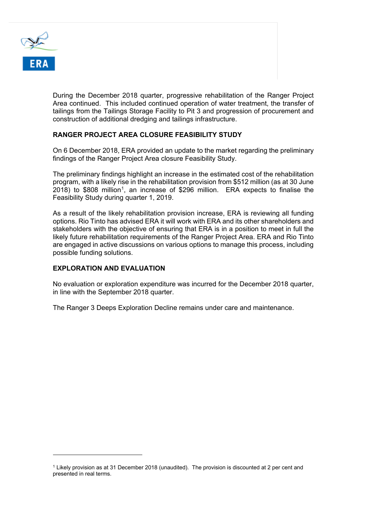

During the December 2018 quarter, progressive rehabilitation of the Ranger Project Area continued. This included continued operation of water treatment, the transfer of tailings from the Tailings Storage Facility to Pit 3 and progression of procurement and construction of additional dredging and tailings infrastructure.

## **RANGER PROJECT AREA CLOSURE FEASIBILITY STUDY**

On 6 December 2018, ERA provided an update to the market regarding the preliminary findings of the Ranger Project Area closure Feasibility Study.

The preliminary findings highlight an increase in the estimated cost of the rehabilitation program, with a likely rise in the rehabilitation provision from \$512 million (as at 30 June  $2018$  $2018$  $2018$ ) to \$808 million<sup>1</sup>, an increase of \$296 million. ERA expects to finalise the Feasibility Study during quarter 1, 2019.

As a result of the likely rehabilitation provision increase, ERA is reviewing all funding options. Rio Tinto has advised ERA it will work with ERA and its other shareholders and stakeholders with the objective of ensuring that ERA is in a position to meet in full the likely future rehabilitation requirements of the Ranger Project Area. ERA and Rio Tinto are engaged in active discussions on various options to manage this process, including possible funding solutions.

## **EXPLORATION AND EVALUATION**

i<br>I

No evaluation or exploration expenditure was incurred for the December 2018 quarter, in line with the September 2018 quarter.

The Ranger 3 Deeps Exploration Decline remains under care and maintenance.

<span id="page-1-0"></span><sup>1</sup> Likely provision as at 31 December 2018 (unaudited). The provision is discounted at 2 per cent and presented in real terms.